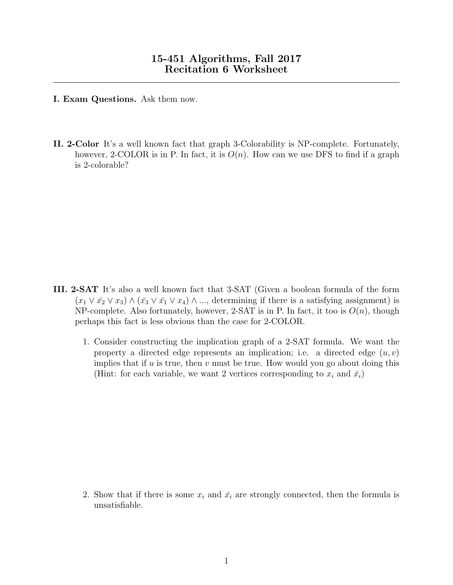- I. Exam Questions. Ask them now.
- II. 2-Color It's a well known fact that graph 3-Colorability is NP-complete. Fortunately, however, 2-COLOR is in P. In fact, it is  $O(n)$ . How can we use DFS to find if a graph is 2-colorable?

- III. 2-SAT It's also a well known fact that 3-SAT (Given a boolean formula of the form  $(x_1 \vee \bar{x_2} \vee x_3) \wedge (\bar{x_3} \vee \bar{x_1} \vee x_4) \wedge ...$ , determining if there is a satisfying assignment) is NP-complete. Also fortunately, however, 2-SAT is in P. In fact, it too is  $O(n)$ , though perhaps this fact is less obvious than the case for 2-COLOR.
	- 1. Consider constructing the implication graph of a 2-SAT formula. We want the property a directed edge represents an implication; i.e. a directed edge  $(u, v)$ implies that if  $u$  is true, then  $v$  must be true. How would you go about doing this (Hint: for each variable, we want 2 vertices corresponding to  $x_i$  and  $\bar{x}_i$ )

2. Show that if there is some  $x_i$  and  $\bar{x_i}$  are strongly connected, then the formula is unsatisfiable.